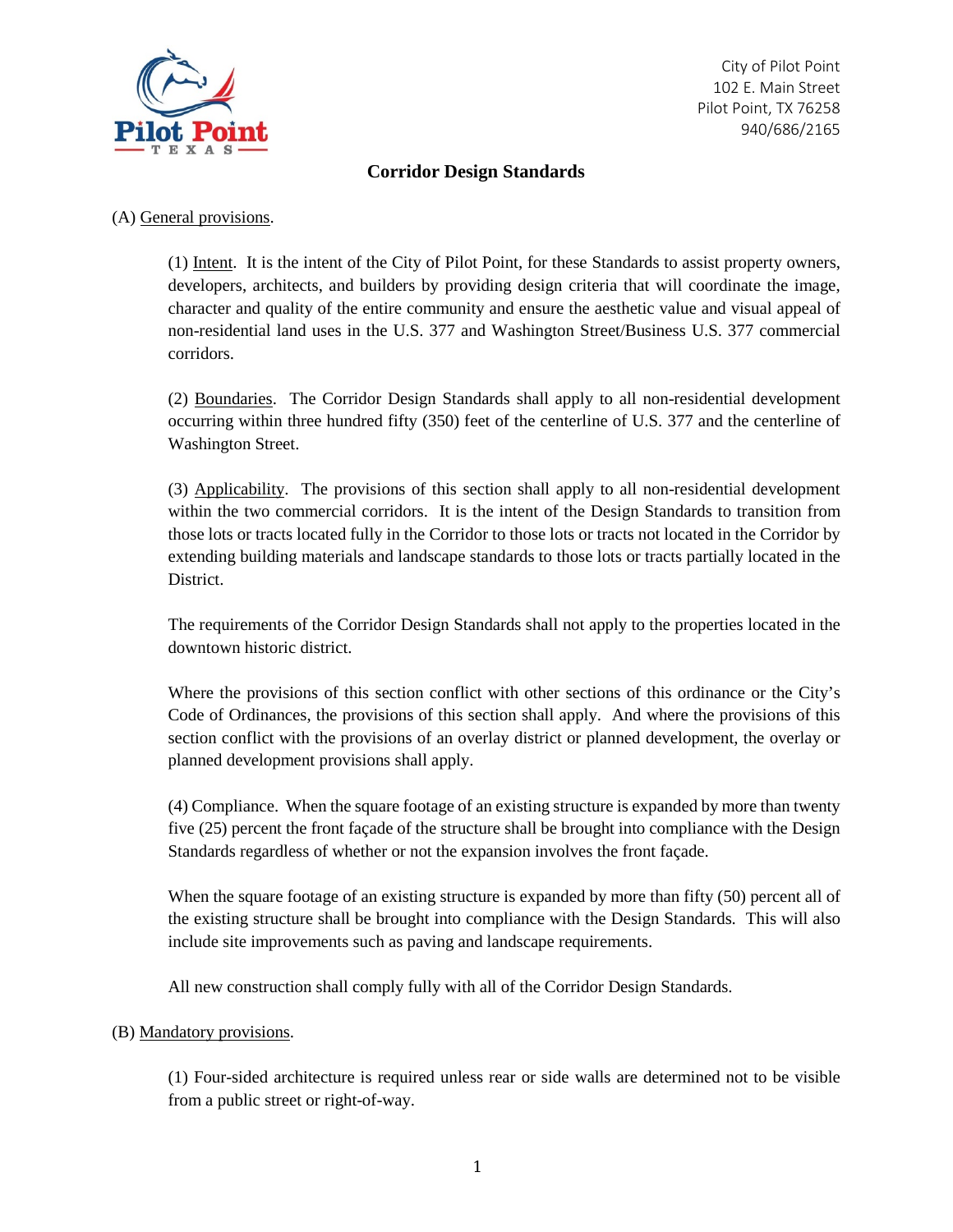

## **Corridor Design Standards**

## (A) General provisions.

(1) Intent. It is the intent of the City of Pilot Point, for these Standards to assist property owners, developers, architects, and builders by providing design criteria that will coordinate the image, character and quality of the entire community and ensure the aesthetic value and visual appeal of non-residential land uses in the U.S. 377 and Washington Street/Business U.S. 377 commercial corridors.

(2) Boundaries. The Corridor Design Standards shall apply to all non-residential development occurring within three hundred fifty (350) feet of the centerline of U.S. 377 and the centerline of Washington Street.

(3) Applicability. The provisions of this section shall apply to all non-residential development within the two commercial corridors. It is the intent of the Design Standards to transition from those lots or tracts located fully in the Corridor to those lots or tracts not located in the Corridor by extending building materials and landscape standards to those lots or tracts partially located in the District.

The requirements of the Corridor Design Standards shall not apply to the properties located in the downtown historic district.

Where the provisions of this section conflict with other sections of this ordinance or the City's Code of Ordinances, the provisions of this section shall apply. And where the provisions of this section conflict with the provisions of an overlay district or planned development, the overlay or planned development provisions shall apply.

(4) Compliance. When the square footage of an existing structure is expanded by more than twenty five (25) percent the front façade of the structure shall be brought into compliance with the Design Standards regardless of whether or not the expansion involves the front façade.

When the square footage of an existing structure is expanded by more than fifty (50) percent all of the existing structure shall be brought into compliance with the Design Standards. This will also include site improvements such as paving and landscape requirements.

All new construction shall comply fully with all of the Corridor Design Standards.

## (B) Mandatory provisions.

(1) Four-sided architecture is required unless rear or side walls are determined not to be visible from a public street or right-of-way.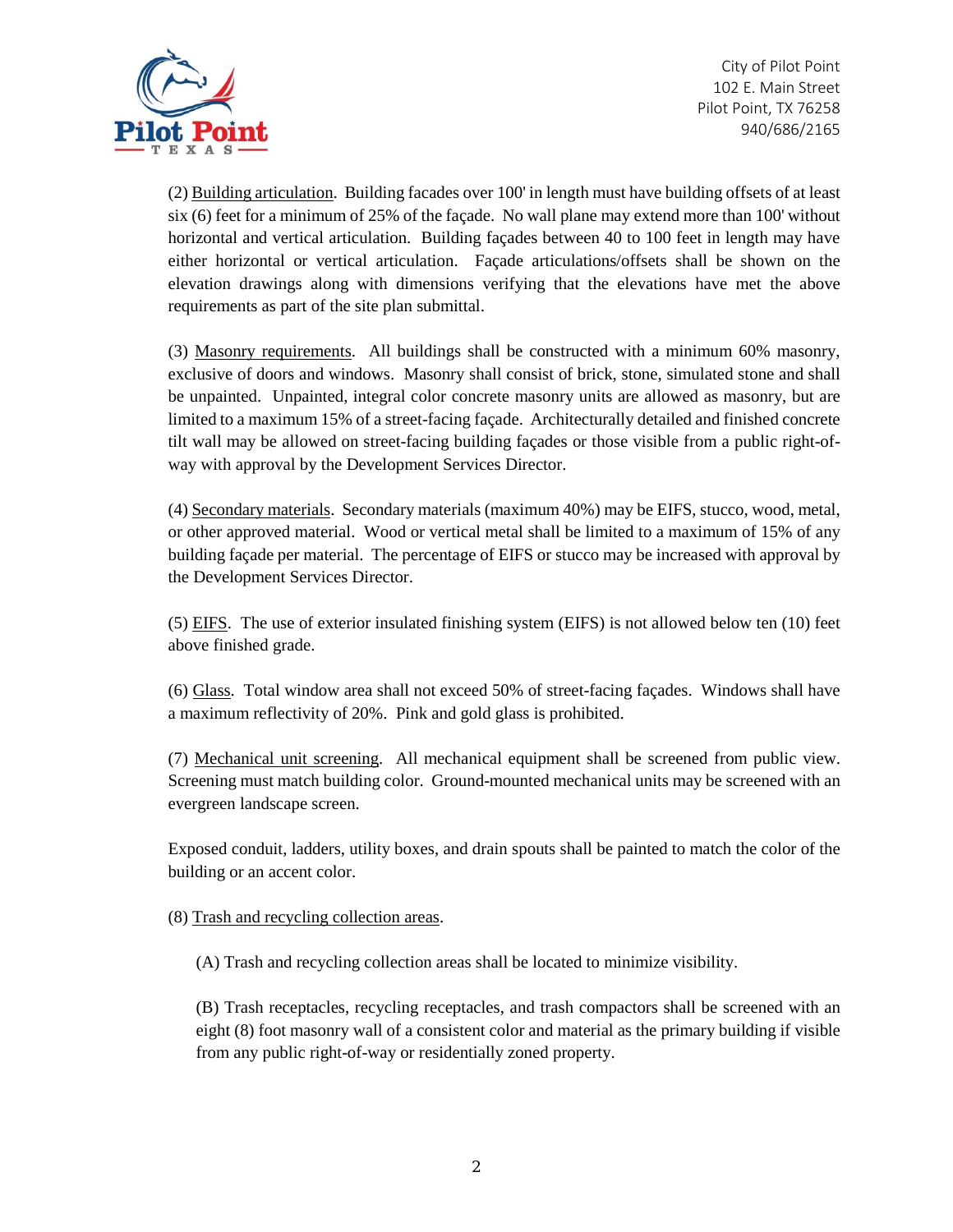

(2) Building articulation. Building facades over 100' in length must have building offsets of at least six (6) feet for a minimum of 25% of the façade. No wall plane may extend more than 100' without horizontal and vertical articulation. Building façades between 40 to 100 feet in length may have either horizontal or vertical articulation. Façade articulations/offsets shall be shown on the elevation drawings along with dimensions verifying that the elevations have met the above requirements as part of the site plan submittal.

(3) Masonry requirements. All buildings shall be constructed with a minimum 60% masonry, exclusive of doors and windows. Masonry shall consist of brick, stone, simulated stone and shall be unpainted. Unpainted, integral color concrete masonry units are allowed as masonry, but are limited to a maximum 15% of a street-facing façade. Architecturally detailed and finished concrete tilt wall may be allowed on street-facing building façades or those visible from a public right-ofway with approval by the Development Services Director.

(4) Secondary materials. Secondary materials (maximum 40%) may be EIFS, stucco, wood, metal, or other approved material. Wood or vertical metal shall be limited to a maximum of 15% of any building façade per material. The percentage of EIFS or stucco may be increased with approval by the Development Services Director.

(5) EIFS. The use of exterior insulated finishing system (EIFS) is not allowed below ten (10) feet above finished grade.

(6) Glass. Total window area shall not exceed 50% of street-facing façades. Windows shall have a maximum reflectivity of 20%. Pink and gold glass is prohibited.

(7) Mechanical unit screening. All mechanical equipment shall be screened from public view. Screening must match building color. Ground-mounted mechanical units may be screened with an evergreen landscape screen.

Exposed conduit, ladders, utility boxes, and drain spouts shall be painted to match the color of the building or an accent color.

(8) Trash and recycling collection areas.

(A) Trash and recycling collection areas shall be located to minimize visibility.

(B) Trash receptacles, recycling receptacles, and trash compactors shall be screened with an eight (8) foot masonry wall of a consistent color and material as the primary building if visible from any public right-of-way or residentially zoned property.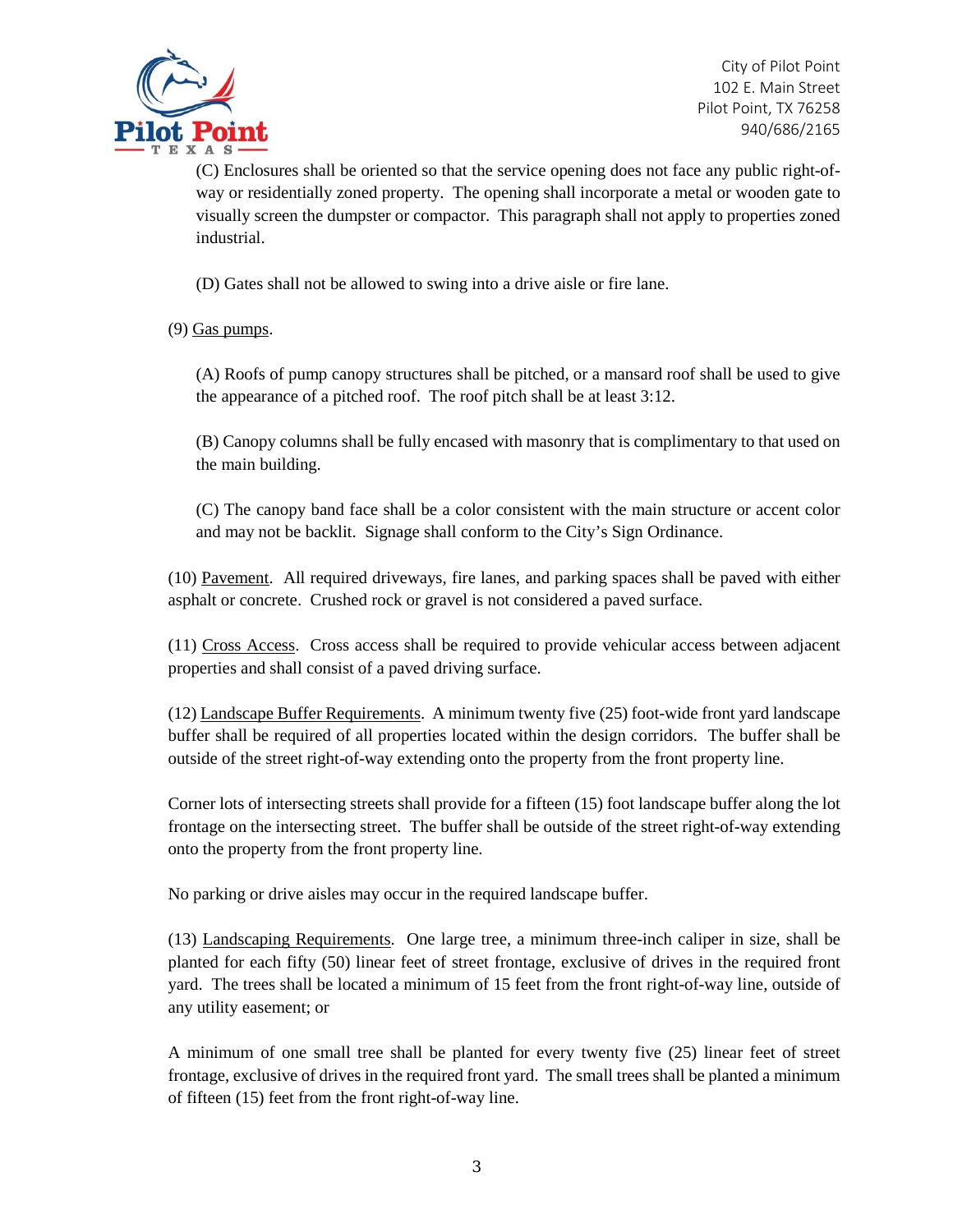

(C) Enclosures shall be oriented so that the service opening does not face any public right-ofway or residentially zoned property. The opening shall incorporate a metal or wooden gate to visually screen the dumpster or compactor. This paragraph shall not apply to properties zoned industrial.

(D) Gates shall not be allowed to swing into a drive aisle or fire lane.

(9) Gas pumps.

(A) Roofs of pump canopy structures shall be pitched, or a mansard roof shall be used to give the appearance of a pitched roof. The roof pitch shall be at least 3:12.

(B) Canopy columns shall be fully encased with masonry that is complimentary to that used on the main building.

(C) The canopy band face shall be a color consistent with the main structure or accent color and may not be backlit. Signage shall conform to the City's Sign Ordinance.

(10) Pavement. All required driveways, fire lanes, and parking spaces shall be paved with either asphalt or concrete. Crushed rock or gravel is not considered a paved surface.

(11) Cross Access. Cross access shall be required to provide vehicular access between adjacent properties and shall consist of a paved driving surface.

(12) Landscape Buffer Requirements. A minimum twenty five (25) foot-wide front yard landscape buffer shall be required of all properties located within the design corridors. The buffer shall be outside of the street right-of-way extending onto the property from the front property line.

Corner lots of intersecting streets shall provide for a fifteen (15) foot landscape buffer along the lot frontage on the intersecting street. The buffer shall be outside of the street right-of-way extending onto the property from the front property line.

No parking or drive aisles may occur in the required landscape buffer.

(13) Landscaping Requirements. One large tree, a minimum three-inch caliper in size, shall be planted for each fifty (50) linear feet of street frontage, exclusive of drives in the required front yard. The trees shall be located a minimum of 15 feet from the front right-of-way line, outside of any utility easement; or

A minimum of one small tree shall be planted for every twenty five (25) linear feet of street frontage, exclusive of drives in the required front yard. The small trees shall be planted a minimum of fifteen (15) feet from the front right-of-way line.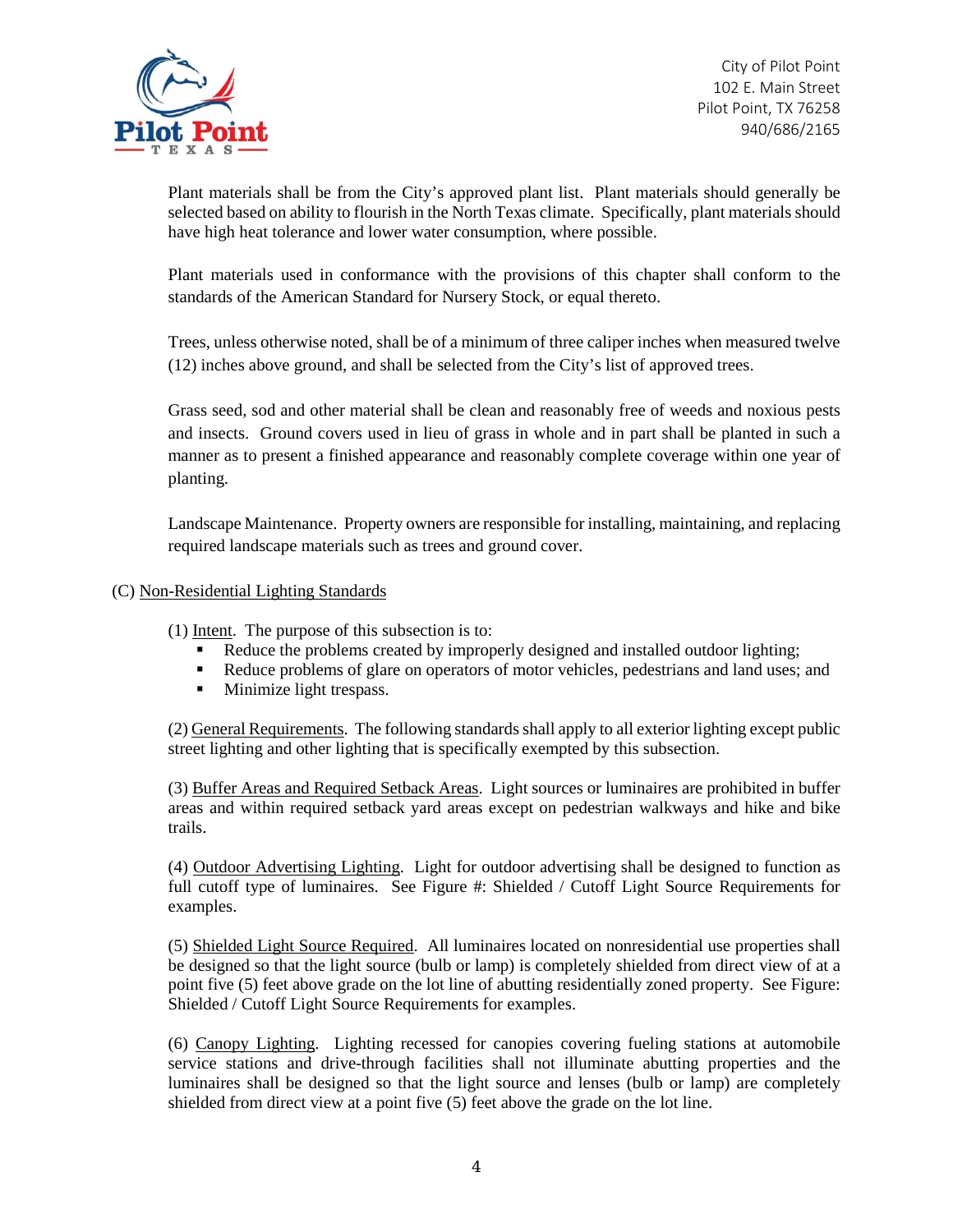

Plant materials shall be from the City's approved plant list. Plant materials should generally be selected based on ability to flourish in the North Texas climate. Specifically, plant materials should have high heat tolerance and lower water consumption, where possible.

Plant materials used in conformance with the provisions of this chapter shall conform to the standards of the American Standard for Nursery Stock, or equal thereto.

Trees, unless otherwise noted, shall be of a minimum of three caliper inches when measured twelve (12) inches above ground, and shall be selected from the City's list of approved trees.

Grass seed, sod and other material shall be clean and reasonably free of weeds and noxious pests and insects. Ground covers used in lieu of grass in whole and in part shall be planted in such a manner as to present a finished appearance and reasonably complete coverage within one year of planting.

Landscape Maintenance. Property owners are responsible for installing, maintaining, and replacing required landscape materials such as trees and ground cover.

## (C) Non-Residential Lighting Standards

(1) Intent. The purpose of this subsection is to:

- Reduce the problems created by improperly designed and installed outdoor lighting;
- Reduce problems of glare on operators of motor vehicles, pedestrians and land uses; and
- **Minimize light trespass.**

(2) General Requirements. The following standards shall apply to all exterior lighting except public street lighting and other lighting that is specifically exempted by this subsection.

(3) Buffer Areas and Required Setback Areas. Light sources or luminaires are prohibited in buffer areas and within required setback yard areas except on pedestrian walkways and hike and bike trails.

(4) Outdoor Advertising Lighting. Light for outdoor advertising shall be designed to function as full cutoff type of luminaires. See Figure #: Shielded / Cutoff Light Source Requirements for examples.

(5) Shielded Light Source Required. All luminaires located on nonresidential use properties shall be designed so that the light source (bulb or lamp) is completely shielded from direct view of at a point five (5) feet above grade on the lot line of abutting residentially zoned property. See Figure: Shielded / Cutoff Light Source Requirements for examples.

(6) Canopy Lighting. Lighting recessed for canopies covering fueling stations at automobile service stations and drive-through facilities shall not illuminate abutting properties and the luminaires shall be designed so that the light source and lenses (bulb or lamp) are completely shielded from direct view at a point five (5) feet above the grade on the lot line.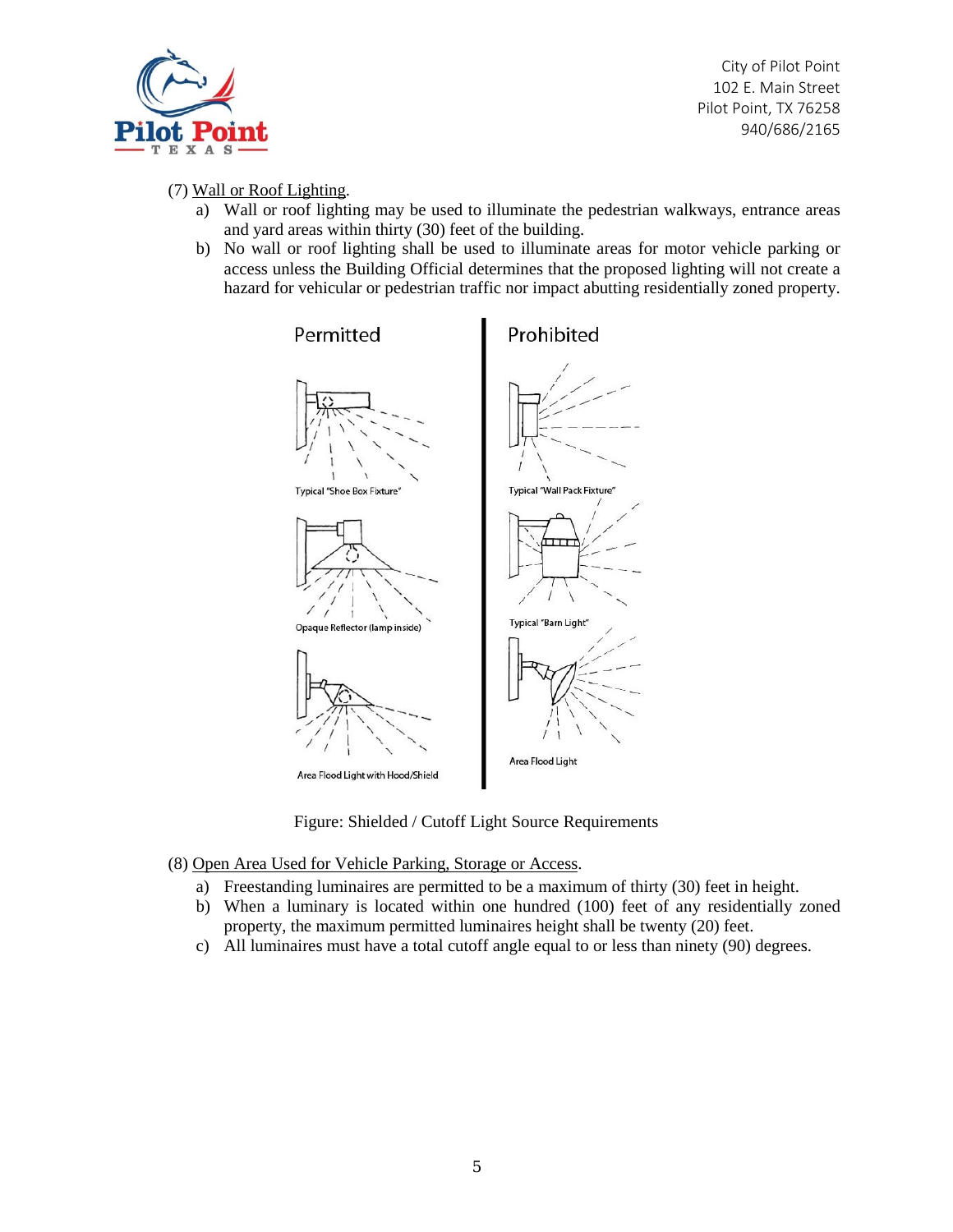

(7) Wall or Roof Lighting.

- a) Wall or roof lighting may be used to illuminate the pedestrian walkways, entrance areas and yard areas within thirty (30) feet of the building.
- b) No wall or roof lighting shall be used to illuminate areas for motor vehicle parking or access unless the Building Official determines that the proposed lighting will not create a hazard for vehicular or pedestrian traffic nor impact abutting residentially zoned property.



Figure: Shielded / Cutoff Light Source Requirements

- (8) Open Area Used for Vehicle Parking, Storage or Access.
	- a) Freestanding luminaires are permitted to be a maximum of thirty (30) feet in height.
	- b) When a luminary is located within one hundred (100) feet of any residentially zoned property, the maximum permitted luminaires height shall be twenty (20) feet.
	- c) All luminaires must have a total cutoff angle equal to or less than ninety (90) degrees.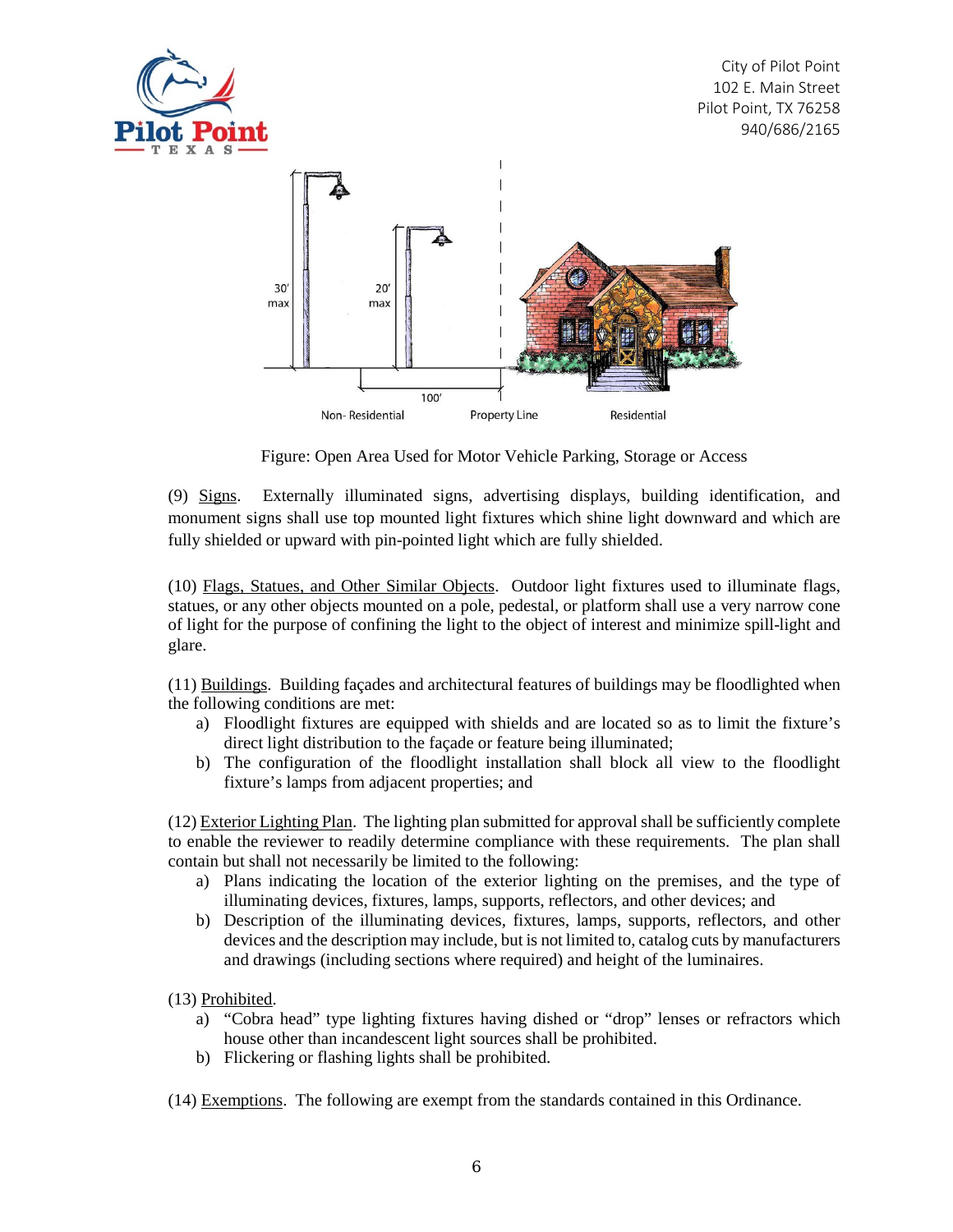



Figure: Open Area Used for Motor Vehicle Parking, Storage or Access

(9) Signs. Externally illuminated signs, advertising displays, building identification, and monument signs shall use top mounted light fixtures which shine light downward and which are fully shielded or upward with pin-pointed light which are fully shielded.

(10) Flags, Statues, and Other Similar Objects. Outdoor light fixtures used to illuminate flags, statues, or any other objects mounted on a pole, pedestal, or platform shall use a very narrow cone of light for the purpose of confining the light to the object of interest and minimize spill-light and glare.

(11) Buildings. Building façades and architectural features of buildings may be floodlighted when the following conditions are met:

- a) Floodlight fixtures are equipped with shields and are located so as to limit the fixture's direct light distribution to the façade or feature being illuminated;
- b) The configuration of the floodlight installation shall block all view to the floodlight fixture's lamps from adjacent properties; and

(12) Exterior Lighting Plan. The lighting plan submitted for approval shall be sufficiently complete to enable the reviewer to readily determine compliance with these requirements. The plan shall contain but shall not necessarily be limited to the following:

- a) Plans indicating the location of the exterior lighting on the premises, and the type of illuminating devices, fixtures, lamps, supports, reflectors, and other devices; and
- b) Description of the illuminating devices, fixtures, lamps, supports, reflectors, and other devices and the description may include, but is not limited to, catalog cuts by manufacturers and drawings (including sections where required) and height of the luminaires.

(13) Prohibited.

- a) "Cobra head" type lighting fixtures having dished or "drop" lenses or refractors which house other than incandescent light sources shall be prohibited.
- b) Flickering or flashing lights shall be prohibited.
- (14) Exemptions. The following are exempt from the standards contained in this Ordinance.